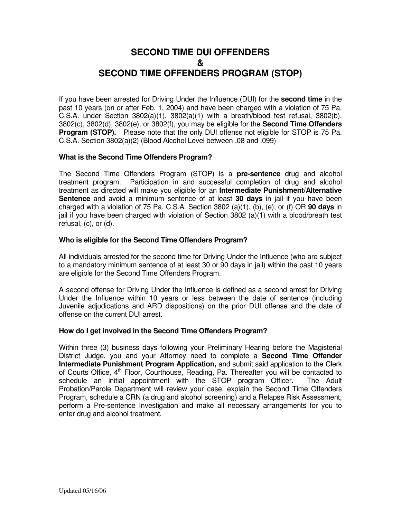# **SECOND TIME DUI OFFENDERS & SECOND TIME OFFENDERS PROGRAM (STOP)**

If you have been arrested for Driving Under the Influence (DUI) for the **second time** in the past 10 years (on or after Feb. 1, 2004) and have been charged with a violation of 75 Pa. C.S.A. under Section  $3802(a)(1)$ ,  $3802(a)(1)$  with a breath/blood test refusal,  $3802(b)$ , 3802(c), 3802(d), 3802(e), or 3802(f), you may be eligible for the **Second Time Offenders Program (STOP).** Please note that the only DUI offense not eligible for STOP is 75 Pa. C.S.A. Section 3802(a)(2) (Blood Alcohol Level between .08 and .099)

### **What is the Second Time Offenders Program?**

The Second Time Offenders Program (STOP) is a **pre-sentence** drug and alcohol treatment program. Participation in and successful completion of drug and alcohol treatment as directed will make you eligible for an **Intermediate Punishment/Alternative Sentence** and avoid a minimum sentence of at least **30 days** in jail if you have been charged with a violation of 75 Pa. C.S.A. Section 3802 (a)(1), (b), (e), or (f) OR **90 days** in jail if you have been charged with violation of Section 3802 (a)(1) with a blood/breath test refusal, (c), or (d).

### **Who is eligible for the Second Time Offenders Program?**

All individuals arrested for the second time for Driving Under the Influence (who are subject to a mandatory minimum sentence of at least 30 or 90 days in jail) within the past 10 years are eligible for the Second Time Offenders Program.

A second offense for Driving Under the Influence is defined as a second arrest for Driving Under the Influence within 10 years or less between the date of sentence (including Juvenile adjudications and ARD dispositions) on the prior DUI offense and the date of offense on the current DUI arrest.

### **How do I get involved in the Second Time Offenders Program?**

Within three (3) business days following your Preliminary Hearing before the Magisterial District Judge, you and your Attorney need to complete a **Second Time Offender Intermediate Punishment Program Application,** and submit said application to the Clerk of Courts Office, 4<sup>th</sup> Floor, Courthouse, Reading, Pa. Thereafter you will be contacted to schedule an initial appointment with the STOP program Officer. The Adult Probation/Parole Department will review your case, explain the Second Time Offenders Program, schedule a CRN (a drug and alcohol screening) and a Relapse Risk Assessment, perform a Pre-sentence Investigation and make all necessary arrangements for you to enter drug and alcohol treatment.